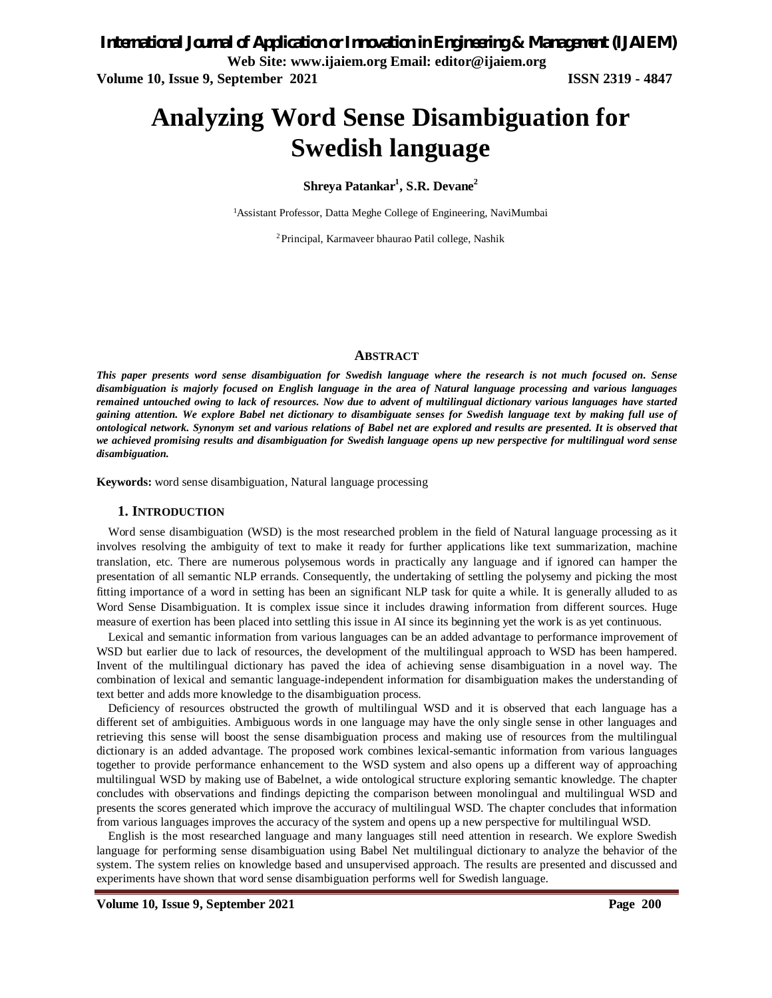# **Analyzing Word Sense Disambiguation for Swedish language**

### **Shreya Patankar<sup>1</sup> , S.R. Devane<sup>2</sup>**

<sup>1</sup>Assistant Professor, Datta Meghe College of Engineering, NaviMumbai

2Principal, Karmaveer bhaurao Patil college, Nashik

#### **ABSTRACT**

*This paper presents word sense disambiguation for Swedish language where the research is not much focused on. Sense disambiguation is majorly focused on English language in the area of Natural language processing and various languages remained untouched owing to lack of resources. Now due to advent of multilingual dictionary various languages have started gaining attention. We explore Babel net dictionary to disambiguate senses for Swedish language text by making full use of ontological network. Synonym set and various relations of Babel net are explored and results are presented. It is observed that we achieved promising results and disambiguation for Swedish language opens up new perspective for multilingual word sense disambiguation.* 

**Keywords:** word sense disambiguation, Natural language processing

#### **1. INTRODUCTION**

Word sense disambiguation (WSD) is the most researched problem in the field of Natural language processing as it involves resolving the ambiguity of text to make it ready for further applications like text summarization, machine translation, etc. There are numerous polysemous words in practically any language and if ignored can hamper the presentation of all semantic NLP errands. Consequently, the undertaking of settling the polysemy and picking the most fitting importance of a word in setting has been an significant NLP task for quite a while. It is generally alluded to as Word Sense Disambiguation. It is complex issue since it includes drawing information from different sources. Huge measure of exertion has been placed into settling this issue in AI since its beginning yet the work is as yet continuous.

Lexical and semantic information from various languages can be an added advantage to performance improvement of WSD but earlier due to lack of resources, the development of the multilingual approach to WSD has been hampered. Invent of the multilingual dictionary has paved the idea of achieving sense disambiguation in a novel way. The combination of lexical and semantic language-independent information for disambiguation makes the understanding of text better and adds more knowledge to the disambiguation process.

Deficiency of resources obstructed the growth of multilingual WSD and it is observed that each language has a different set of ambiguities. Ambiguous words in one language may have the only single sense in other languages and retrieving this sense will boost the sense disambiguation process and making use of resources from the multilingual dictionary is an added advantage. The proposed work combines lexical-semantic information from various languages together to provide performance enhancement to the WSD system and also opens up a different way of approaching multilingual WSD by making use of Babelnet, a wide ontological structure exploring semantic knowledge. The chapter concludes with observations and findings depicting the comparison between monolingual and multilingual WSD and presents the scores generated which improve the accuracy of multilingual WSD. The chapter concludes that information from various languages improves the accuracy of the system and opens up a new perspective for multilingual WSD.

English is the most researched language and many languages still need attention in research. We explore Swedish language for performing sense disambiguation using Babel Net multilingual dictionary to analyze the behavior of the system. The system relies on knowledge based and unsupervised approach. The results are presented and discussed and experiments have shown that word sense disambiguation performs well for Swedish language.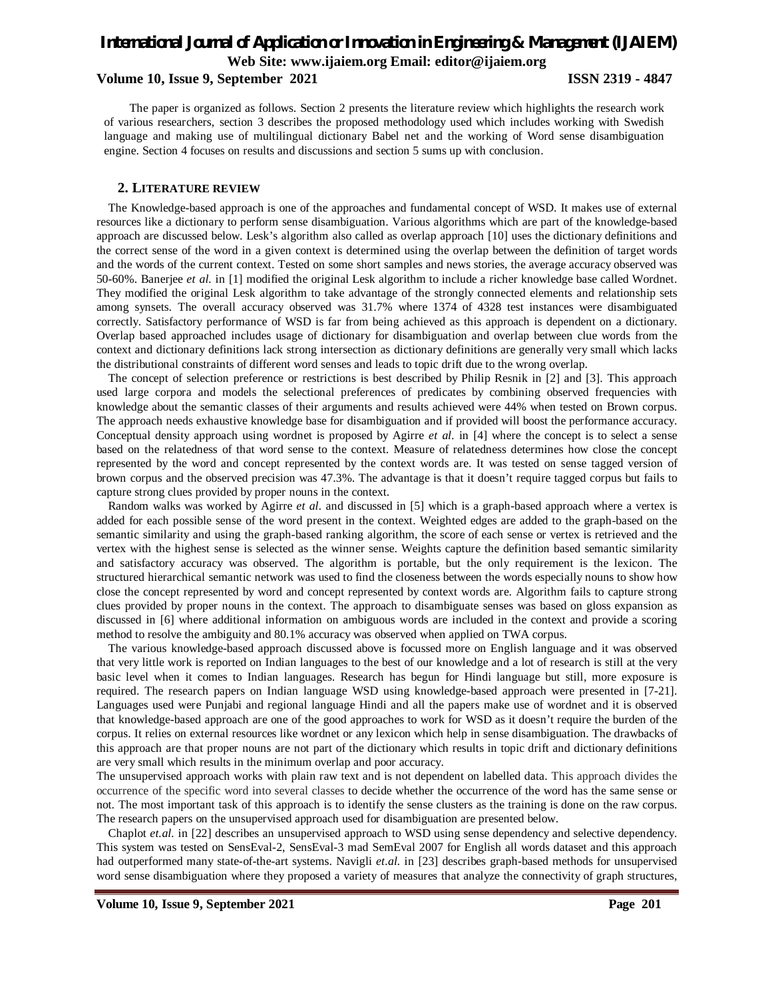**Volume 10, Issue 9, September 2021 ISSN 2319 - 4847** 

The paper is organized as follows. Section 2 presents the literature review which highlights the research work of various researchers, section 3 describes the proposed methodology used which includes working with Swedish language and making use of multilingual dictionary Babel net and the working of Word sense disambiguation engine. Section 4 focuses on results and discussions and section 5 sums up with conclusion.

#### **2. LITERATURE REVIEW**

The Knowledge-based approach is one of the approaches and fundamental concept of WSD. It makes use of external resources like a dictionary to perform sense disambiguation. Various algorithms which are part of the knowledge-based approach are discussed below. Lesk's algorithm also called as overlap approach [10] uses the dictionary definitions and the correct sense of the word in a given context is determined using the overlap between the definition of target words and the words of the current context. Tested on some short samples and news stories, the average accuracy observed was 50-60%. Banerjee *et al.* in [1] modified the original Lesk algorithm to include a richer knowledge base called Wordnet. They modified the original Lesk algorithm to take advantage of the strongly connected elements and relationship sets among synsets. The overall accuracy observed was 31.7% where 1374 of 4328 test instances were disambiguated correctly. Satisfactory performance of WSD is far from being achieved as this approach is dependent on a dictionary. Overlap based approached includes usage of dictionary for disambiguation and overlap between clue words from the context and dictionary definitions lack strong intersection as dictionary definitions are generally very small which lacks the distributional constraints of different word senses and leads to topic drift due to the wrong overlap.

The concept of selection preference or restrictions is best described by Philip Resnik in [2] and [3]. This approach used large corpora and models the selectional preferences of predicates by combining observed frequencies with knowledge about the semantic classes of their arguments and results achieved were 44% when tested on Brown corpus. The approach needs exhaustive knowledge base for disambiguation and if provided will boost the performance accuracy. Conceptual density approach using wordnet is proposed by Agirre *et al.* in [4] where the concept is to select a sense based on the relatedness of that word sense to the context. Measure of relatedness determines how close the concept represented by the word and concept represented by the context words are. It was tested on sense tagged version of brown corpus and the observed precision was 47.3%. The advantage is that it doesn't require tagged corpus but fails to capture strong clues provided by proper nouns in the context.

Random walks was worked by Agirre *et al.* and discussed in [5] which is a graph-based approach where a vertex is added for each possible sense of the word present in the context. Weighted edges are added to the graph-based on the semantic similarity and using the graph-based ranking algorithm, the score of each sense or vertex is retrieved and the vertex with the highest sense is selected as the winner sense. Weights capture the definition based semantic similarity and satisfactory accuracy was observed. The algorithm is portable, but the only requirement is the lexicon. The structured hierarchical semantic network was used to find the closeness between the words especially nouns to show how close the concept represented by word and concept represented by context words are. Algorithm fails to capture strong clues provided by proper nouns in the context. The approach to disambiguate senses was based on gloss expansion as discussed in [6] where additional information on ambiguous words are included in the context and provide a scoring method to resolve the ambiguity and 80.1% accuracy was observed when applied on TWA corpus.

The various knowledge-based approach discussed above is focussed more on English language and it was observed that very little work is reported on Indian languages to the best of our knowledge and a lot of research is still at the very basic level when it comes to Indian languages. Research has begun for Hindi language but still, more exposure is required. The research papers on Indian language WSD using knowledge-based approach were presented in [7-21]. Languages used were Punjabi and regional language Hindi and all the papers make use of wordnet and it is observed that knowledge-based approach are one of the good approaches to work for WSD as it doesn't require the burden of the corpus. It relies on external resources like wordnet or any lexicon which help in sense disambiguation. The drawbacks of this approach are that proper nouns are not part of the dictionary which results in topic drift and dictionary definitions are very small which results in the minimum overlap and poor accuracy.

The unsupervised approach works with plain raw text and is not dependent on labelled data. This approach divides the occurrence of the specific word into several classes to decide whether the occurrence of the word has the same sense or not. The most important task of this approach is to identify the sense clusters as the training is done on the raw corpus. The research papers on the unsupervised approach used for disambiguation are presented below.

Chaplot *et.al.* in [22] describes an unsupervised approach to WSD using sense dependency and selective dependency. This system was tested on SensEval-2, SensEval-3 mad SemEval 2007 for English all words dataset and this approach had outperformed many state-of-the-art systems. Navigli *et.al.* in [23] describes graph-based methods for unsupervised word sense disambiguation where they proposed a variety of measures that analyze the connectivity of graph structures,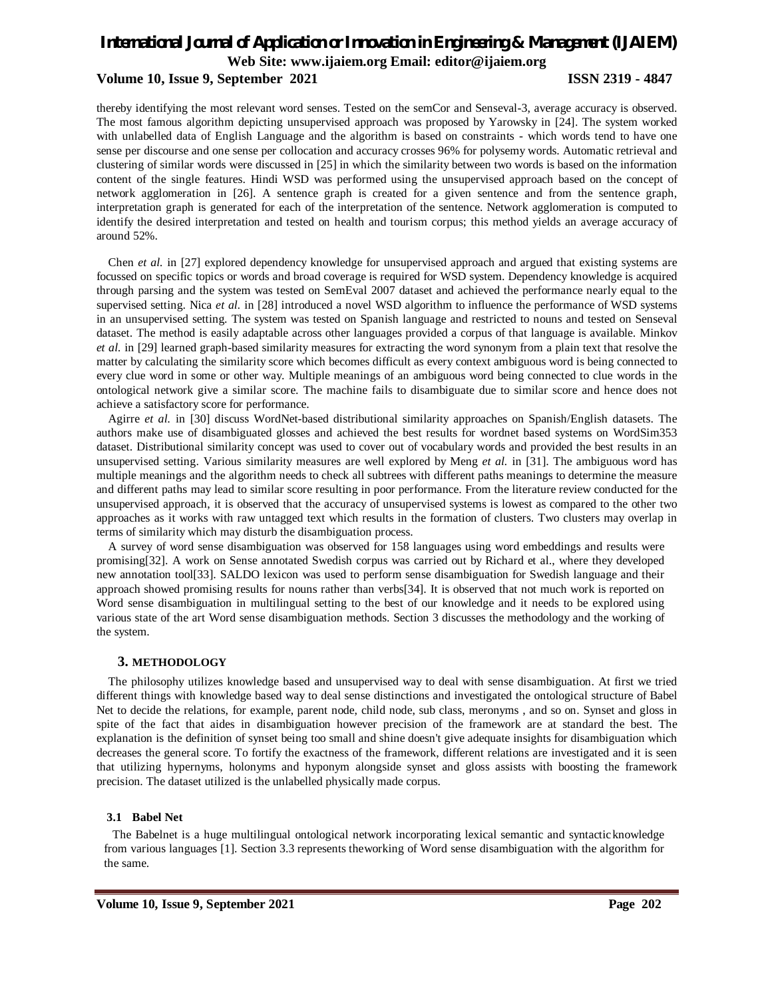#### **Volume 10, Issue 9, September 2021 ISSN 2319 - 4847**

thereby identifying the most relevant word senses. Tested on the semCor and Senseval-3, average accuracy is observed. The most famous algorithm depicting unsupervised approach was proposed by Yarowsky in [24]. The system worked with unlabelled data of English Language and the algorithm is based on constraints - which words tend to have one sense per discourse and one sense per collocation and accuracy crosses 96% for polysemy words. Automatic retrieval and clustering of similar words were discussed in [25] in which the similarity between two words is based on the information content of the single features. Hindi WSD was performed using the unsupervised approach based on the concept of network agglomeration in [26]. A sentence graph is created for a given sentence and from the sentence graph, interpretation graph is generated for each of the interpretation of the sentence. Network agglomeration is computed to identify the desired interpretation and tested on health and tourism corpus; this method yields an average accuracy of around 52%.

Chen *et al.* in [27] explored dependency knowledge for unsupervised approach and argued that existing systems are focussed on specific topics or words and broad coverage is required for WSD system. Dependency knowledge is acquired through parsing and the system was tested on SemEval 2007 dataset and achieved the performance nearly equal to the supervised setting. Nica *et al.* in [28] introduced a novel WSD algorithm to influence the performance of WSD systems in an unsupervised setting. The system was tested on Spanish language and restricted to nouns and tested on Senseval dataset. The method is easily adaptable across other languages provided a corpus of that language is available. Minkov *et al.* in [29] learned graph-based similarity measures for extracting the word synonym from a plain text that resolve the matter by calculating the similarity score which becomes difficult as every context ambiguous word is being connected to every clue word in some or other way. Multiple meanings of an ambiguous word being connected to clue words in the ontological network give a similar score. The machine fails to disambiguate due to similar score and hence does not achieve a satisfactory score for performance.

Agirre *et al.* in [30] discuss WordNet-based distributional similarity approaches on Spanish/English datasets. The authors make use of disambiguated glosses and achieved the best results for wordnet based systems on WordSim353 dataset. Distributional similarity concept was used to cover out of vocabulary words and provided the best results in an unsupervised setting. Various similarity measures are well explored by Meng *et al.* in [31]. The ambiguous word has multiple meanings and the algorithm needs to check all subtrees with different paths meanings to determine the measure and different paths may lead to similar score resulting in poor performance. From the literature review conducted for the unsupervised approach, it is observed that the accuracy of unsupervised systems is lowest as compared to the other two approaches as it works with raw untagged text which results in the formation of clusters. Two clusters may overlap in terms of similarity which may disturb the disambiguation process.

A survey of word sense disambiguation was observed for 158 languages using word embeddings and results were promising[32]. A work on Sense annotated Swedish corpus was carried out by Richard et al., where they developed new annotation tool[33]. SALDO lexicon was used to perform sense disambiguation for Swedish language and their approach showed promising results for nouns rather than verbs[34]. It is observed that not much work is reported on Word sense disambiguation in multilingual setting to the best of our knowledge and it needs to be explored using various state of the art Word sense disambiguation methods. Section 3 discusses the methodology and the working of the system.

#### **3. METHODOLOGY**

The philosophy utilizes knowledge based and unsupervised way to deal with sense disambiguation. At first we tried different things with knowledge based way to deal sense distinctions and investigated the ontological structure of Babel Net to decide the relations, for example, parent node, child node, sub class, meronyms , and so on. Synset and gloss in spite of the fact that aides in disambiguation however precision of the framework are at standard the best. The explanation is the definition of synset being too small and shine doesn't give adequate insights for disambiguation which decreases the general score. To fortify the exactness of the framework, different relations are investigated and it is seen that utilizing hypernyms, holonyms and hyponym alongside synset and gloss assists with boosting the framework precision. The dataset utilized is the unlabelled physically made corpus.

#### **3.1 Babel Net**

The Babelnet is a huge multilingual ontological network incorporating lexical semantic and syntacticknowledge from various languages [1]. Section 3.3 represents theworking of Word sense disambiguation with the algorithm for the same.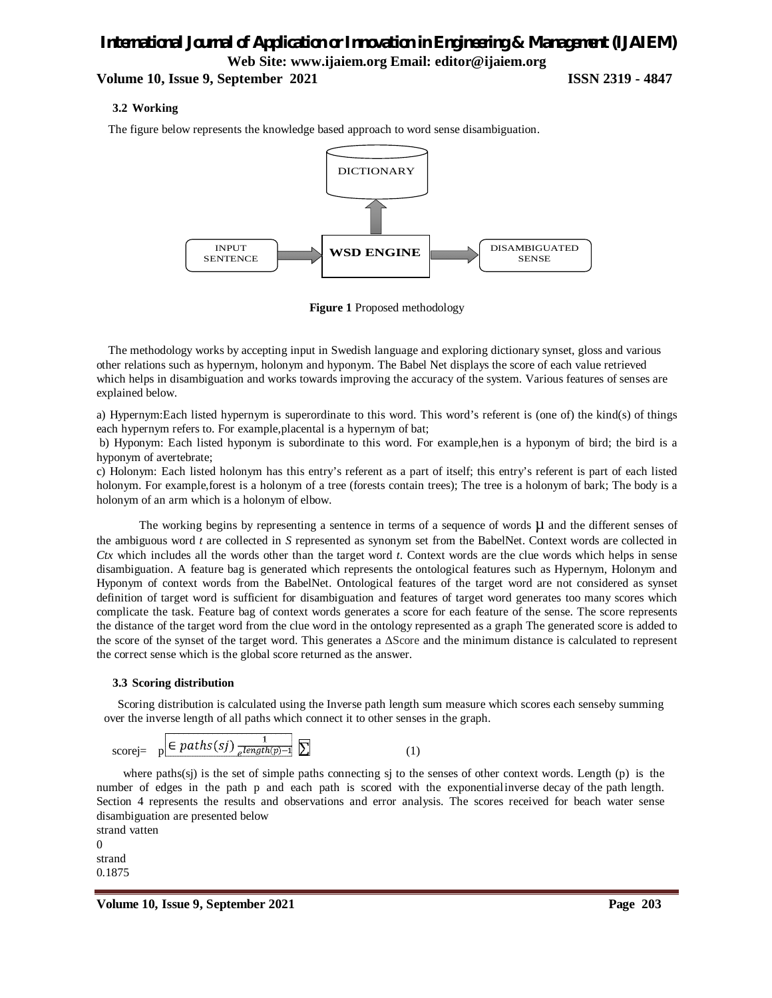#### **Volume 10, Issue 9, September 2021 ISSN 2319 - 4847**

#### **3.2 Working**

The figure below represents the knowledge based approach to word sense disambiguation.





The methodology works by accepting input in Swedish language and exploring dictionary synset, gloss and various other relations such as hypernym, holonym and hyponym. The Babel Net displays the score of each value retrieved which helps in disambiguation and works towards improving the accuracy of the system. Various features of senses are explained below.

a) Hypernym:Each listed hypernym is superordinate to this word. This word's referent is (one of) the kind(s) of things each hypernym refers to. For example,placental is a hypernym of bat;

b) Hyponym: Each listed hyponym is subordinate to this word. For example,hen is a hyponym of bird; the bird is a hyponym of avertebrate;

c) Holonym: Each listed holonym has this entry's referent as a part of itself; this entry's referent is part of each listed holonym. For example,forest is a holonym of a tree (forests contain trees); The tree is a holonym of bark; The body is a holonym of an arm which is a holonym of elbow.

The working begins by representing a sentence in terms of a sequence of words  $\mu$  and the different senses of the ambiguous word *t* are collected in *S* represented as synonym set from the BabelNet. Context words are collected in *Ctx* which includes all the words other than the target word *t*. Context words are the clue words which helps in sense disambiguation. A feature bag is generated which represents the ontological features such as Hypernym, Holonym and Hyponym of context words from the BabelNet. Ontological features of the target word are not considered as synset definition of target word is sufficient for disambiguation and features of target word generates too many scores which complicate the task. Feature bag of context words generates a score for each feature of the sense. The score represents the distance of the target word from the clue word in the ontology represented as a graph The generated score is added to the score of the synset of the target word. This generates a ΔScore and the minimum distance is calculated to represent the correct sense which is the global score returned as the answer.

#### **3.3 Scoring distribution**

Scoring distribution is calculated using the Inverse path length sum measure which scores each senseby summing over the inverse length of all paths which connect it to other senses in the graph.

scorej= 
$$
p \in paths(sj) \frac{1}{e^{length(p)-1}} \sum
$$
 (1)

where paths(sj) is the set of simple paths connecting sj to the senses of other context words. Length (p) is the number of edges in the path p and each path is scored with the exponential inverse decay of the path length. Section 4 represents the results and observations and error analysis. The scores received for beach water sense disambiguation are presented below

strand vatten 0 strand 0.1875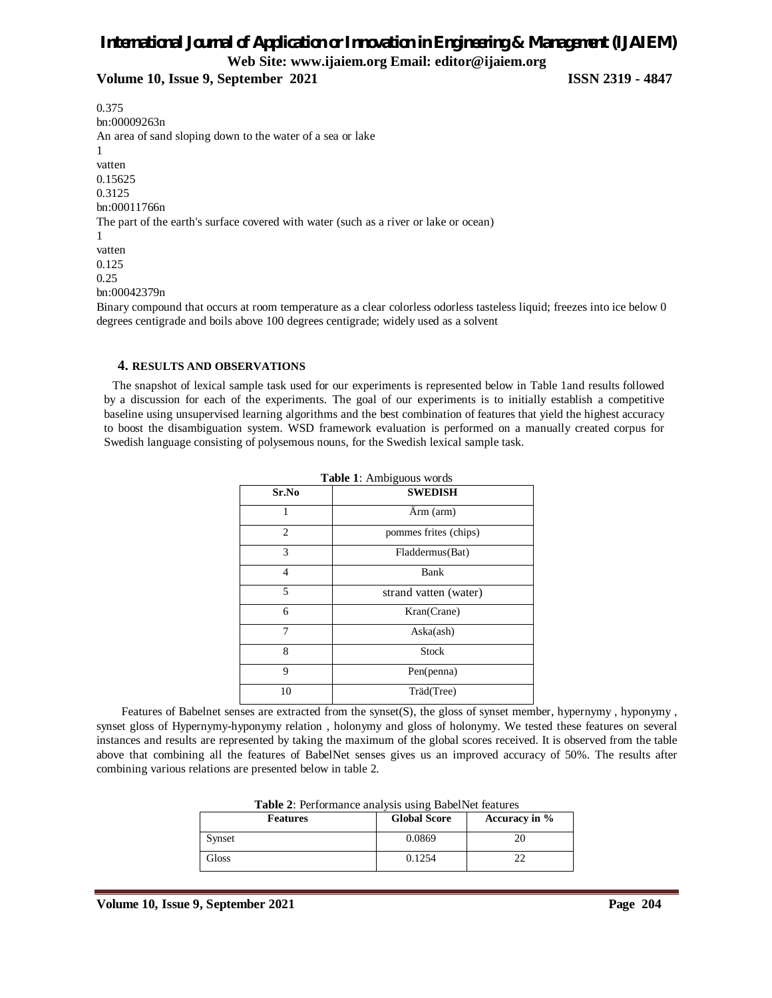# *International Journal of Application or Innovation in Engineering & Management (IJAIEM)*

**Web Site: www.ijaiem.org Email: editor@ijaiem.org**

**Volume 10, Issue 9, September 2021 ISSN 2319 - 4847**

0.375 bn:00009263n An area of sand sloping down to the water of a sea or lake 1 vatten 0.15625 0.3125 bn:00011766n The part of the earth's surface covered with water (such as a river or lake or ocean) 1 vatten 0.125 0.25 bn:00042379n Binary compound that occurs at room temperature as a clear colorless odorless tasteless liquid; freezes into ice below 0 degrees centigrade and boils above 100 degrees centigrade; widely used as a solvent

#### **4. RESULTS AND OBSERVATIONS**

The snapshot of lexical sample task used for our experiments is represented below in Table 1and results followed by a discussion for each of the experiments. The goal of our experiments is to initially establish a competitive baseline using unsupervised learning algorithms and the best combination of features that yield the highest accuracy to boost the disambiguation system. WSD framework evaluation is performed on a manually created corpus for Swedish language consisting of polysemous nouns, for the Swedish lexical sample task.

|       | Table 1: Ambiguous words |  |
|-------|--------------------------|--|
| Sr.No | <b>SWEDISH</b>           |  |
| 1     | Arm (arm)                |  |
| 2     | pommes frites (chips)    |  |
| 3     | Fladdermus(Bat)          |  |
| 4     | Bank                     |  |
| 5     | strand vatten (water)    |  |
| 6     | Kran(Crane)              |  |
| 7     | Aska(ash)                |  |
| 8     | <b>Stock</b>             |  |
| 9     | Pen(penna)               |  |
| 10    | Träd(Tree)               |  |

Features of Babelnet senses are extracted from the synset(S), the gloss of synset member, hypernymy, hyponymy, synset gloss of Hypernymy-hyponymy relation , holonymy and gloss of holonymy. We tested these features on several instances and results are represented by taking the maximum of the global scores received. It is observed from the table above that combining all the features of BabelNet senses gives us an improved accuracy of 50%. The results after combining various relations are presented below in table 2.

| <b>Table 2:</b> Performance analysis using BabelNet features |                     |               |  |
|--------------------------------------------------------------|---------------------|---------------|--|
| <b>Features</b>                                              | <b>Global Score</b> | Accuracy in % |  |
| Synset                                                       | 0.0869              | 20            |  |
| Gloss                                                        | 0.1254              | フフ            |  |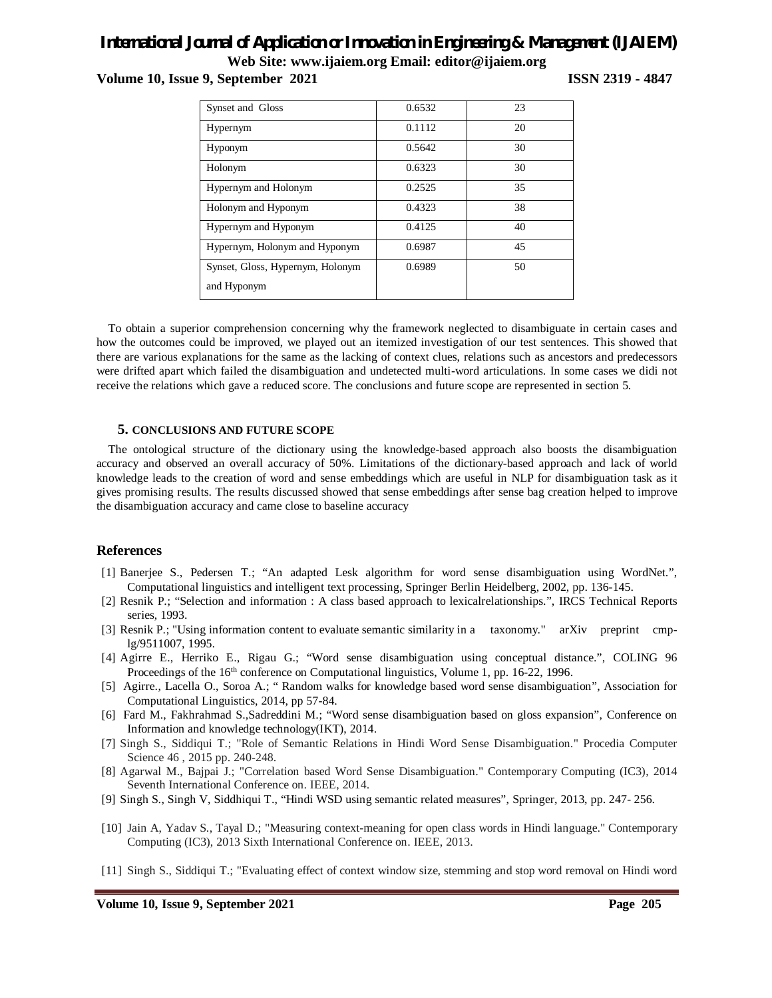**Volume 10, Issue 9, September 2021 ISSN 2319 - 4847** 

| Synset and Gloss                 | 0.6532 | 23 |
|----------------------------------|--------|----|
| Hypernym                         | 0.1112 | 20 |
| Hyponym                          | 0.5642 | 30 |
| Holonym                          | 0.6323 | 30 |
| Hypernym and Holonym             | 0.2525 | 35 |
| Holonym and Hyponym              | 0.4323 | 38 |
| Hypernym and Hyponym             | 0.4125 | 40 |
| Hypernym, Holonym and Hyponym    | 0.6987 | 45 |
| Synset, Gloss, Hypernym, Holonym | 0.6989 | 50 |
| and Hyponym                      |        |    |

To obtain a superior comprehension concerning why the framework neglected to disambiguate in certain cases and how the outcomes could be improved, we played out an itemized investigation of our test sentences. This showed that there are various explanations for the same as the lacking of context clues, relations such as ancestors and predecessors were drifted apart which failed the disambiguation and undetected multi-word articulations. In some cases we didi not receive the relations which gave a reduced score. The conclusions and future scope are represented in section 5.

#### **5. CONCLUSIONS AND FUTURE SCOPE**

The ontological structure of the dictionary using the knowledge-based approach also boosts the disambiguation accuracy and observed an overall accuracy of 50%. Limitations of the dictionary-based approach and lack of world knowledge leads to the creation of word and sense embeddings which are useful in NLP for disambiguation task as it gives promising results. The results discussed showed that sense embeddings after sense bag creation helped to improve the disambiguation accuracy and came close to baseline accuracy

#### **References**

- [1] Banerjee S., Pedersen T.; "An adapted Lesk algorithm for word sense disambiguation using WordNet.", Computational linguistics and intelligent text processing, Springer Berlin Heidelberg, 2002, pp. 136-145.
- [2] Resnik P.; "Selection and information : A class based approach to lexicalrelationships.", IRCS Technical Reports series, 1993.
- [3] Resnik P.; "Using information content to evaluate semantic similarity in a taxonomy." arXiv preprint cmplg/9511007, 1995.
- [4] Agirre E., Herriko E., Rigau G.; "Word sense disambiguation using conceptual distance.", COLING 96 Proceedings of the 16<sup>th</sup> conference on Computational linguistics, Volume 1, pp. 16-22, 1996.
- [5] Agirre., Lacella O., Soroa A.; " Random walks for knowledge based word sense disambiguation", Association for Computational Linguistics, 2014, pp 57-84.
- [6] Fard M., Fakhrahmad S.,Sadreddini M.; "Word sense disambiguation based on gloss expansion", Conference on Information and knowledge technology(IKT), 2014.
- [7] Singh S., Siddiqui T.; "Role of Semantic Relations in Hindi Word Sense Disambiguation." Procedia Computer Science 46 , 2015 pp. 240-248.
- [8] Agarwal M., Bajpai J.; "Correlation based Word Sense Disambiguation." Contemporary Computing (IC3), 2014 Seventh International Conference on. IEEE, 2014.
- [9] Singh S., Singh V, Siddhiqui T., "Hindi WSD using semantic related measures", Springer, 2013, pp. 247- 256.
- [10] Jain A, Yadav S., Tayal D.; "Measuring context-meaning for open class words in Hindi language." Contemporary Computing (IC3), 2013 Sixth International Conference on. IEEE, 2013.
- [11] Singh S., Siddiqui T.; "Evaluating effect of context window size, stemming and stop word removal on Hindi word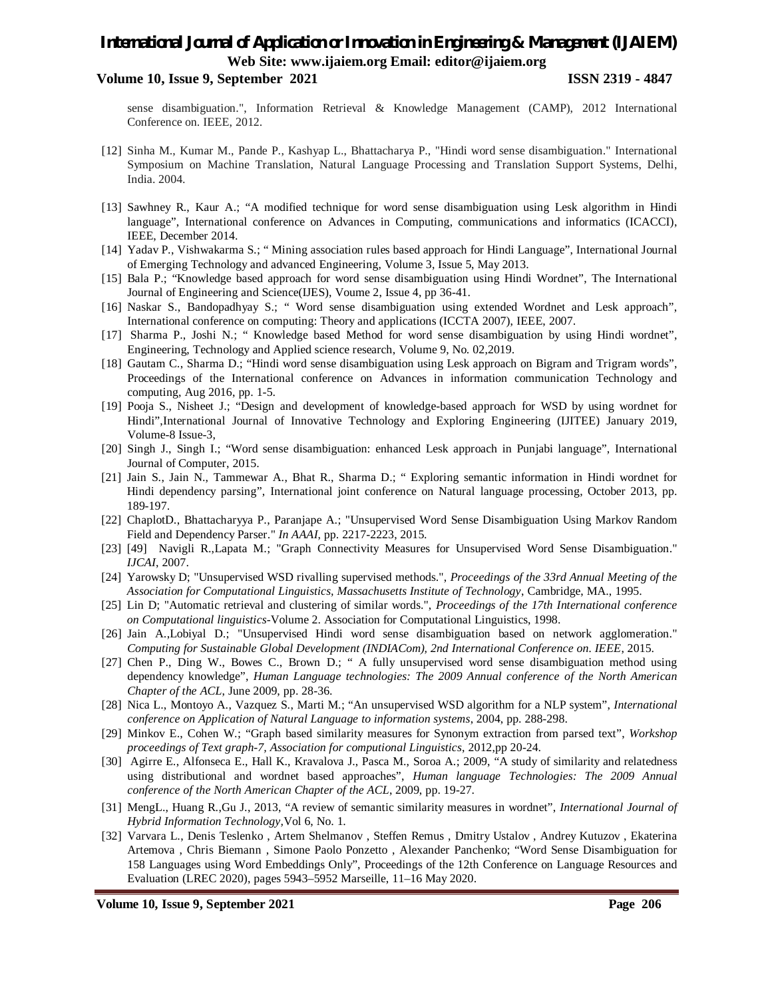#### **Volume 10, Issue 9, September 2021 ISSN 2319 - 4847**

sense disambiguation.", Information Retrieval & Knowledge Management (CAMP), 2012 International Conference on. IEEE, 2012.

- [12] Sinha M., Kumar M., Pande P., Kashyap L., Bhattacharya P., "Hindi word sense disambiguation." International Symposium on Machine Translation, Natural Language Processing and Translation Support Systems, Delhi, India. 2004.
- [13] Sawhney R., Kaur A.; "A modified technique for word sense disambiguation using Lesk algorithm in Hindi language", International conference on Advances in Computing, communications and informatics (ICACCI), IEEE, December 2014.
- [14] Yadav P., Vishwakarma S.; " Mining association rules based approach for Hindi Language", International Journal of Emerging Technology and advanced Engineering, Volume 3, Issue 5, May 2013.
- [15] Bala P.; "Knowledge based approach for word sense disambiguation using Hindi Wordnet", The International Journal of Engineering and Science(IJES), Voume 2, Issue 4, pp 36-41.
- [16] Naskar S., Bandopadhyay S.; " Word sense disambiguation using extended Wordnet and Lesk approach", International conference on computing: Theory and applications (ICCTA 2007), IEEE, 2007.
- [17] Sharma P., Joshi N.; " Knowledge based Method for word sense disambiguation by using Hindi wordnet", Engineering, Technology and Applied science research, Volume 9, No. 02,2019.
- [18] Gautam C., Sharma D.; "Hindi word sense disambiguation using Lesk approach on Bigram and Trigram words", Proceedings of the International conference on Advances in information communication Technology and computing, Aug 2016, pp. 1-5.
- [19] Pooja S., Nisheet J.; "Design and development of knowledge-based approach for WSD by using wordnet for Hindi",International Journal of Innovative Technology and Exploring Engineering (IJITEE) January 2019, Volume-8 Issue-3,
- [20] Singh J., Singh I.; "Word sense disambiguation: enhanced Lesk approach in Punjabi language", International Journal of Computer, 2015.
- [21] Jain S., Jain N., Tammewar A., Bhat R., Sharma D.; " Exploring semantic information in Hindi wordnet for Hindi dependency parsing", International joint conference on Natural language processing, October 2013, pp. 189-197.
- [22] ChaplotD., Bhattacharyya P., Paranjape A.; "Unsupervised Word Sense Disambiguation Using Markov Random Field and Dependency Parser." *In AAAI*, pp. 2217-2223, 2015.
- [23] [49] Navigli R.,Lapata M.; "Graph Connectivity Measures for Unsupervised Word Sense Disambiguation." *IJCAI*, 2007.
- [24] Yarowsky D; "Unsupervised WSD rivalling supervised methods.", *Proceedings of the 33rd Annual Meeting of the Association for Computational Linguistics, Massachusetts Institute of Technology*, Cambridge, MA., 1995.
- [25] Lin D; "Automatic retrieval and clustering of similar words.", *Proceedings of the 17th International conference on Computational linguistics*-Volume 2. Association for Computational Linguistics, 1998.
- [26] Jain A.,Lobiyal D.; "Unsupervised Hindi word sense disambiguation based on network agglomeration." *Computing for Sustainable Global Development (INDIACom), 2nd International Conference on. IEEE*, 2015.
- [27] Chen P., Ding W., Bowes C., Brown D.; " A fully unsupervised word sense disambiguation method using dependency knowledge", *Human Language technologies: The 2009 Annual conference of the North American Chapter of the ACL*, June 2009, pp. 28-36.
- [28] Nica L., Montoyo A., Vazquez S., Marti M.; "An unsupervised WSD algorithm for a NLP system", *International conference on Application of Natural Language to information systems*, 2004, pp. 288-298.
- [29] Minkov E., Cohen W.; "Graph based similarity measures for Synonym extraction from parsed text", *Workshop proceedings of Text graph-7, Association for computional Linguistics*, 2012,pp 20-24.
- [30] Agirre E., Alfonseca E., Hall K., Kravalova J., Pasca M., Soroa A.; 2009, "A study of similarity and relatedness using distributional and wordnet based approaches", *Human language Technologies: The 2009 Annual conference of the North American Chapter of the ACL*, 2009, pp. 19-27.
- [31] MengL., Huang R.,Gu J., 2013, "A review of semantic similarity measures in wordnet", *International Journal of Hybrid Information Technology,*Vol 6, No. 1.
- [32] Varvara L., Denis Teslenko , Artem Shelmanov , Steffen Remus , Dmitry Ustalov , Andrey Kutuzov , Ekaterina Artemova , Chris Biemann , Simone Paolo Ponzetto , Alexander Panchenko; "Word Sense Disambiguation for 158 Languages using Word Embeddings Only", Proceedings of the 12th Conference on Language Resources and Evaluation (LREC 2020), pages 5943–5952 Marseille, 11–16 May 2020.